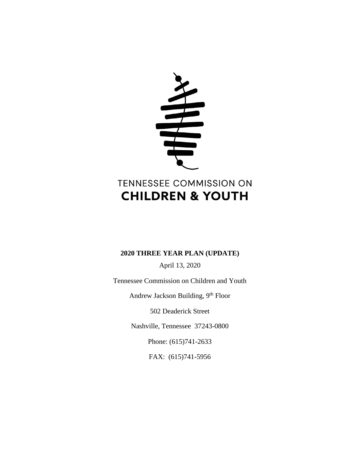

# **2020 THREE YEAR PLAN (UPDATE)**

April 13, 2020

Tennessee Commission on Children and Youth Andrew Jackson Building, 9th Floor 502 Deaderick Street Nashville, Tennessee 37243-0800 Phone: (615)741-2633

FAX: (615)741-5956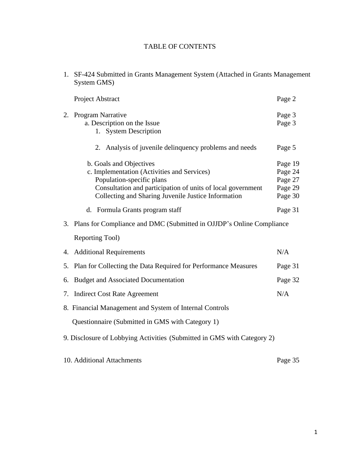# TABLE OF CONTENTS

1. SF-424 Submitted in Grants Management System (Attached in Grants Management System GMS)

|    | Project Abstract                                                                                                                                                                                                          | Page 2                                              |
|----|---------------------------------------------------------------------------------------------------------------------------------------------------------------------------------------------------------------------------|-----------------------------------------------------|
|    | 2. Program Narrative<br>a. Description on the Issue<br>1. System Description                                                                                                                                              | Page 3<br>Page 3                                    |
|    | 2. Analysis of juvenile delinquency problems and needs                                                                                                                                                                    | Page 5                                              |
|    | b. Goals and Objectives<br>c. Implementation (Activities and Services)<br>Population-specific plans<br>Consultation and participation of units of local government<br>Collecting and Sharing Juvenile Justice Information | Page 19<br>Page 24<br>Page 27<br>Page 29<br>Page 30 |
|    | d. Formula Grants program staff                                                                                                                                                                                           | Page 31                                             |
|    | 3. Plans for Compliance and DMC (Submitted in OJJDP's Online Compliance                                                                                                                                                   |                                                     |
|    | Reporting Tool)                                                                                                                                                                                                           |                                                     |
|    | 4. Additional Requirements                                                                                                                                                                                                | N/A                                                 |
|    | 5. Plan for Collecting the Data Required for Performance Measures                                                                                                                                                         | Page 31                                             |
| 6. | <b>Budget and Associated Documentation</b>                                                                                                                                                                                | Page 32                                             |
|    | 7. Indirect Cost Rate Agreement                                                                                                                                                                                           | N/A                                                 |
|    | 8. Financial Management and System of Internal Controls                                                                                                                                                                   |                                                     |
|    | Questionnaire (Submitted in GMS with Category 1)                                                                                                                                                                          |                                                     |
|    | 9. Disclosure of Lobbying Activities (Submitted in GMS with Category 2)                                                                                                                                                   |                                                     |

10. Additional Attachments Page 35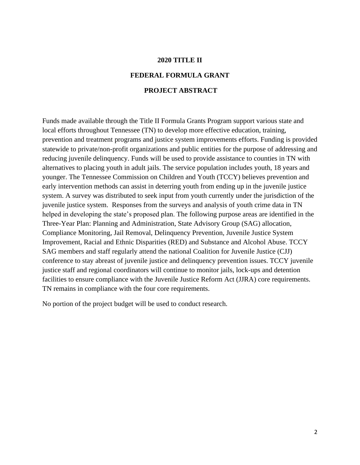# **2020 TITLE II**

# **FEDERAL FORMULA GRANT PROJECT ABSTRACT**

Funds made available through the Title II Formula Grants Program support various state and local efforts throughout Tennessee (TN) to develop more effective education, training, prevention and treatment programs and justice system improvements efforts. Funding is provided statewide to private/non-profit organizations and public entities for the purpose of addressing and reducing juvenile delinquency. Funds will be used to provide assistance to counties in TN with alternatives to placing youth in adult jails. The service population includes youth, 18 years and younger. The Tennessee Commission on Children and Youth (TCCY) believes prevention and early intervention methods can assist in deterring youth from ending up in the juvenile justice system. A survey was distributed to seek input from youth currently under the jurisdiction of the juvenile justice system. Responses from the surveys and analysis of youth crime data in TN helped in developing the state's proposed plan. The following purpose areas are identified in the Three-Year Plan: Planning and Administration, State Advisory Group (SAG) allocation, Compliance Monitoring, Jail Removal, Delinquency Prevention, Juvenile Justice System Improvement, Racial and Ethnic Disparities (RED) and Substance and Alcohol Abuse. TCCY SAG members and staff regularly attend the national Coalition for Juvenile Justice (CJJ) conference to stay abreast of juvenile justice and delinquency prevention issues. TCCY juvenile justice staff and regional coordinators will continue to monitor jails, lock-ups and detention facilities to ensure compliance with the Juvenile Justice Reform Act (JJRA) core requirements. TN remains in compliance with the four core requirements.

No portion of the project budget will be used to conduct research.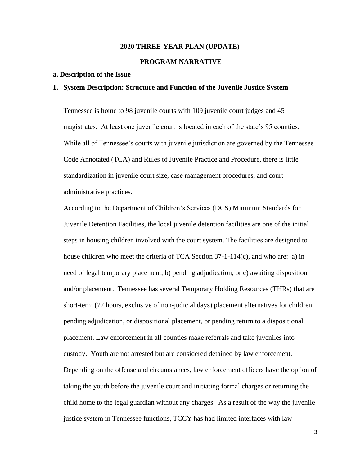#### **2020 THREE-YEAR PLAN (UPDATE)**

# **PROGRAM NARRATIVE**

#### **a. Description of the Issue**

#### **1. System Description: Structure and Function of the Juvenile Justice System**

Tennessee is home to 98 juvenile courts with 109 juvenile court judges and 45 magistrates. At least one juvenile court is located in each of the state's 95 counties. While all of Tennessee's courts with juvenile jurisdiction are governed by the Tennessee Code Annotated (TCA) and Rules of Juvenile Practice and Procedure, there is little standardization in juvenile court size, case management procedures, and court administrative practices.

According to the Department of Children's Services (DCS) Minimum Standards for Juvenile Detention Facilities, the local juvenile detention facilities are one of the initial steps in housing children involved with the court system. The facilities are designed to house children who meet the criteria of TCA Section  $37-1-114(c)$ , and who are: a) in need of legal temporary placement, b) pending adjudication, or c) awaiting disposition and/or placement. Tennessee has several Temporary Holding Resources (THRs) that are short-term (72 hours, exclusive of non-judicial days) placement alternatives for children pending adjudication, or dispositional placement, or pending return to a dispositional placement. Law enforcement in all counties make referrals and take juveniles into custody. Youth are not arrested but are considered detained by law enforcement. Depending on the offense and circumstances, law enforcement officers have the option of taking the youth before the juvenile court and initiating formal charges or returning the child home to the legal guardian without any charges. As a result of the way the juvenile justice system in Tennessee functions, TCCY has had limited interfaces with law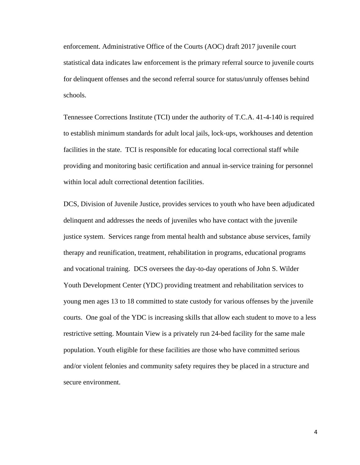enforcement. Administrative Office of the Courts (AOC) draft 2017 juvenile court statistical data indicates law enforcement is the primary referral source to juvenile courts for delinquent offenses and the second referral source for status/unruly offenses behind schools.

Tennessee Corrections Institute (TCI) under the authority of T.C.A. 41-4-140 is required to establish minimum standards for adult local jails, lock-ups, workhouses and detention facilities in the state. TCI is responsible for educating local correctional staff while providing and monitoring basic certification and annual in-service training for personnel within local adult correctional detention facilities.

DCS, Division of Juvenile Justice, provides services to youth who have been adjudicated delinquent and addresses the needs of juveniles who have contact with the juvenile justice system. Services range from mental health and substance abuse services, family therapy and reunification, treatment, rehabilitation in programs, educational programs and vocational training. DCS oversees the day-to-day operations of John S. Wilder Youth Development Center (YDC) providing treatment and rehabilitation services to young men ages 13 to 18 committed to state custody for various offenses by the juvenile courts. One goal of the YDC is increasing skills that allow each student to move to a less restrictive setting. Mountain View is a privately run 24-bed facility for the same male population. Youth eligible for these facilities are those who have committed serious and/or violent felonies and community safety requires they be placed in a structure and secure environment.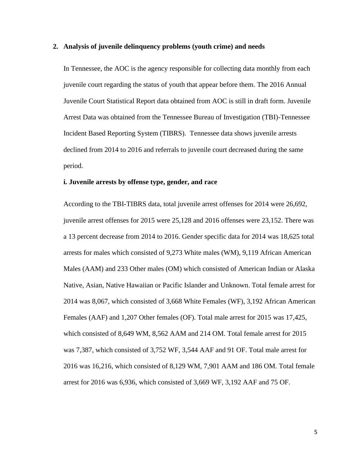#### **2. Analysis of juvenile delinquency problems (youth crime) and needs**

In Tennessee, the AOC is the agency responsible for collecting data monthly from each juvenile court regarding the status of youth that appear before them. The 2016 Annual Juvenile Court Statistical Report data obtained from AOC is still in draft form. Juvenile Arrest Data was obtained from the Tennessee Bureau of Investigation (TBI)-Tennessee Incident Based Reporting System (TIBRS). Tennessee data shows juvenile arrests declined from 2014 to 2016 and referrals to juvenile court decreased during the same period.

#### **i. Juvenile arrests by offense type, gender, and race**

According to the TBI-TIBRS data, total juvenile arrest offenses for 2014 were 26,692, juvenile arrest offenses for 2015 were 25,128 and 2016 offenses were 23,152. There was a 13 percent decrease from 2014 to 2016. Gender specific data for 2014 was 18,625 total arrests for males which consisted of 9,273 White males (WM), 9,119 African American Males (AAM) and 233 Other males (OM) which consisted of American Indian or Alaska Native, Asian, Native Hawaiian or Pacific Islander and Unknown. Total female arrest for 2014 was 8,067, which consisted of 3,668 White Females (WF), 3,192 African American Females (AAF) and 1,207 Other females (OF). Total male arrest for 2015 was 17,425, which consisted of 8,649 WM, 8,562 AAM and 214 OM. Total female arrest for 2015 was 7,387, which consisted of 3,752 WF, 3,544 AAF and 91 OF. Total male arrest for 2016 was 16,216, which consisted of 8,129 WM, 7,901 AAM and 186 OM. Total female arrest for 2016 was 6,936, which consisted of 3,669 WF, 3,192 AAF and 75 OF.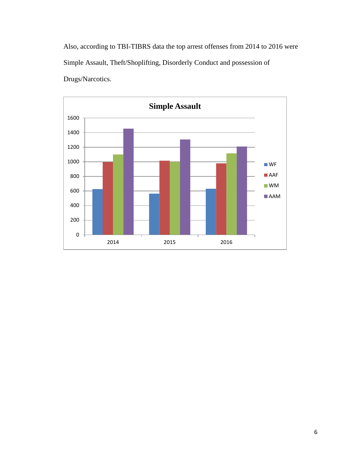Also, according to TBI-TIBRS data the top arrest offenses from 2014 to 2016 were Simple Assault, Theft/Shoplifting, Disorderly Conduct and possession of Drugs/Narcotics.

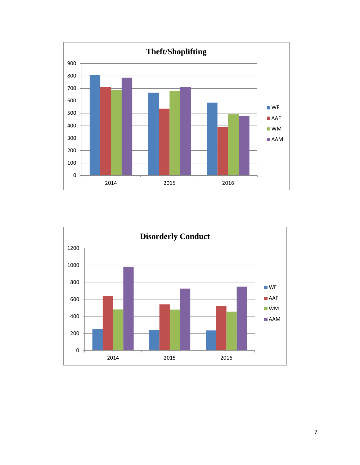

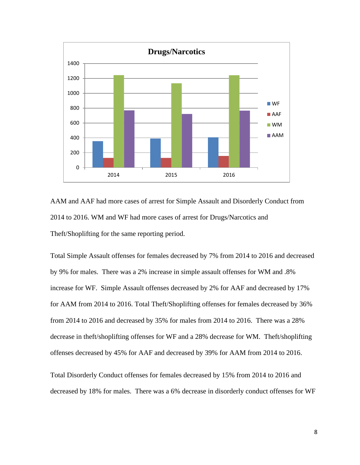

AAM and AAF had more cases of arrest for Simple Assault and Disorderly Conduct from 2014 to 2016. WM and WF had more cases of arrest for Drugs/Narcotics and Theft/Shoplifting for the same reporting period.

Total Simple Assault offenses for females decreased by 7% from 2014 to 2016 and decreased by 9% for males. There was a 2% increase in simple assault offenses for WM and .8% increase for WF. Simple Assault offenses decreased by 2% for AAF and decreased by 17% for AAM from 2014 to 2016. Total Theft/Shoplifting offenses for females decreased by 36% from 2014 to 2016 and decreased by 35% for males from 2014 to 2016. There was a 28% decrease in theft/shoplifting offenses for WF and a 28% decrease for WM. Theft/shoplifting offenses decreased by 45% for AAF and decreased by 39% for AAM from 2014 to 2016.

Total Disorderly Conduct offenses for females decreased by 15% from 2014 to 2016 and decreased by 18% for males. There was a 6% decrease in disorderly conduct offenses for WF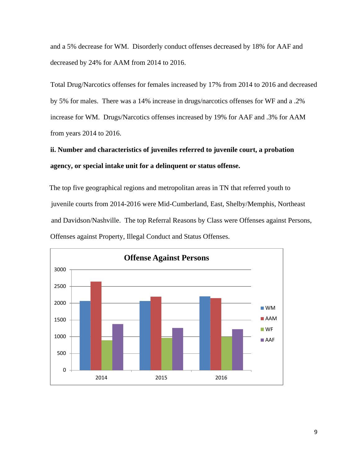and a 5% decrease for WM. Disorderly conduct offenses decreased by 18% for AAF and decreased by 24% for AAM from 2014 to 2016.

Total Drug/Narcotics offenses for females increased by 17% from 2014 to 2016 and decreased by 5% for males. There was a 14% increase in drugs/narcotics offenses for WF and a .2% increase for WM. Drugs/Narcotics offenses increased by 19% for AAF and .3% for AAM from years 2014 to 2016.

# **ii. Number and characteristics of juveniles referred to juvenile court, a probation agency, or special intake unit for a delinquent or status offense.**

The top five geographical regions and metropolitan areas in TN that referred youth to juvenile courts from 2014-2016 were Mid-Cumberland, East, Shelby/Memphis, Northeast and Davidson/Nashville. The top Referral Reasons by Class were Offenses against Persons, Offenses against Property, Illegal Conduct and Status Offenses.

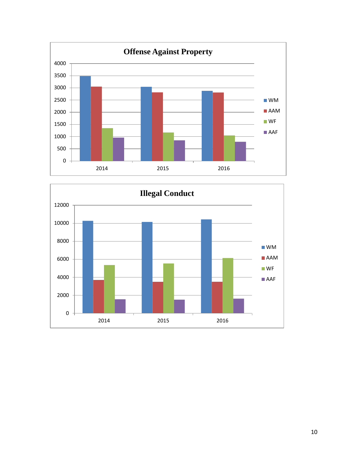

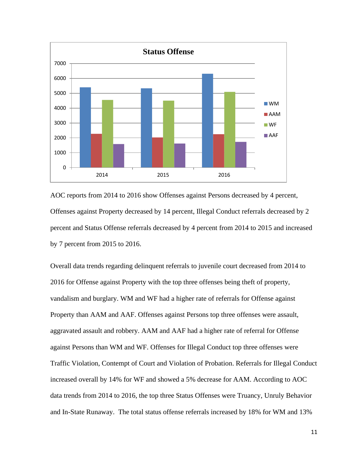

AOC reports from 2014 to 2016 show Offenses against Persons decreased by 4 percent, Offenses against Property decreased by 14 percent, Illegal Conduct referrals decreased by 2 percent and Status Offense referrals decreased by 4 percent from 2014 to 2015 and increased by 7 percent from 2015 to 2016.

Overall data trends regarding delinquent referrals to juvenile court decreased from 2014 to 2016 for Offense against Property with the top three offenses being theft of property, vandalism and burglary. WM and WF had a higher rate of referrals for Offense against Property than AAM and AAF. Offenses against Persons top three offenses were assault, aggravated assault and robbery. AAM and AAF had a higher rate of referral for Offense against Persons than WM and WF. Offenses for Illegal Conduct top three offenses were Traffic Violation, Contempt of Court and Violation of Probation. Referrals for Illegal Conduct increased overall by 14% for WF and showed a 5% decrease for AAM. According to AOC data trends from 2014 to 2016, the top three Status Offenses were Truancy, Unruly Behavior and In-State Runaway. The total status offense referrals increased by 18% for WM and 13%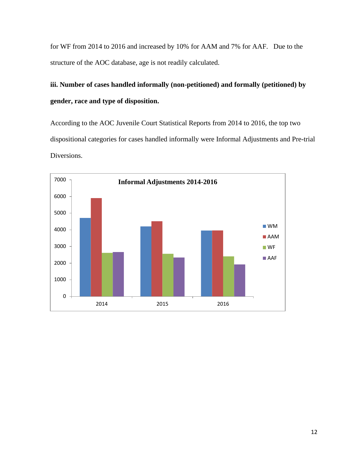for WF from 2014 to 2016 and increased by 10% for AAM and 7% for AAF. Due to the structure of the AOC database, age is not readily calculated.

# **iii. Number of cases handled informally (non-petitioned) and formally (petitioned) by gender, race and type of disposition.**

According to the AOC Juvenile Court Statistical Reports from 2014 to 2016, the top two dispositional categories for cases handled informally were Informal Adjustments and Pre-trial Diversions.

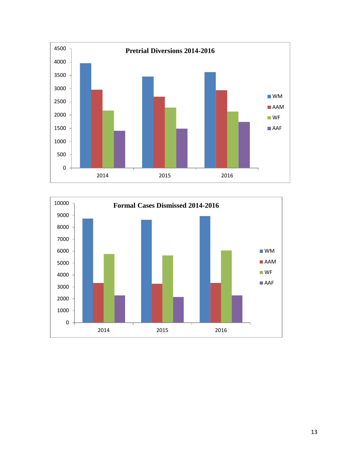

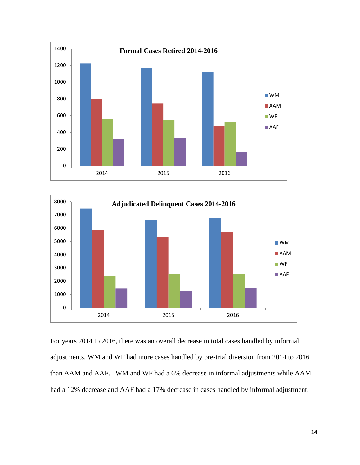



For years 2014 to 2016, there was an overall decrease in total cases handled by informal adjustments. WM and WF had more cases handled by pre-trial diversion from 2014 to 2016 than AAM and AAF. WM and WF had a 6% decrease in informal adjustments while AAM had a 12% decrease and AAF had a 17% decrease in cases handled by informal adjustment.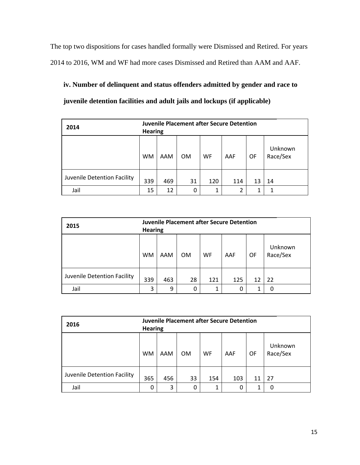The top two dispositions for cases handled formally were Dismissed and Retired. For years 2014 to 2016, WM and WF had more cases Dismissed and Retired than AAM and AAF.

**iv. Number of delinquent and status offenders admitted by gender and race to juvenile detention facilities and adult jails and lockups (if applicable)**

| 2014                        | <b>Juvenile Placement after Secure Detention</b><br><b>Hearing</b> |     |           |     |                |    |                     |
|-----------------------------|--------------------------------------------------------------------|-----|-----------|-----|----------------|----|---------------------|
|                             | <b>WM</b>                                                          | AAM | <b>OM</b> | WF  | AAF            | OF | Unknown<br>Race/Sex |
| Juvenile Detention Facility | 339                                                                | 469 | 31        | 120 | 114            | 13 | 14                  |
| Jail                        | 15                                                                 | 12  | 0         | 1   | $\overline{2}$ | 1  |                     |

| 2015                        | <b>Juvenile Placement after Secure Detention</b><br><b>Hearing</b> |     |                |           |     |    |                     |
|-----------------------------|--------------------------------------------------------------------|-----|----------------|-----------|-----|----|---------------------|
|                             | <b>WM</b>                                                          | AAM | 0 <sub>M</sub> | <b>WF</b> | AAF | OF | Unknown<br>Race/Sex |
| Juvenile Detention Facility | 339                                                                | 463 | 28             | 121       | 125 | 12 | 22                  |
| Jail                        | 3                                                                  | 9   | 0              | 1         | 0   |    | 0                   |

| 2016                        | <b>Juvenile Placement after Secure Detention</b><br><b>Hearing</b> |     |           |           |     |    |                     |
|-----------------------------|--------------------------------------------------------------------|-----|-----------|-----------|-----|----|---------------------|
|                             | <b>WM</b>                                                          | AAM | <b>OM</b> | <b>WF</b> | AAF | OF | Unknown<br>Race/Sex |
| Juvenile Detention Facility | 365                                                                | 456 | 33        | 154       | 103 | 11 | 27                  |
| Jail                        | 0                                                                  | 3   | 0         | 1         | 0   |    |                     |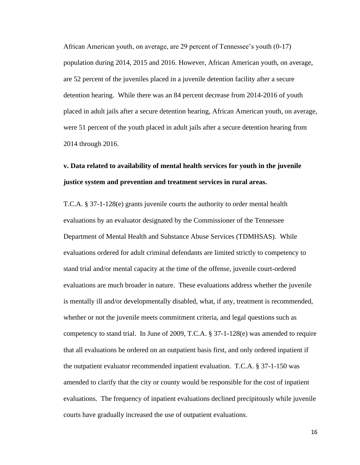African American youth, on average, are 29 percent of Tennessee's youth (0-17) population during 2014, 2015 and 2016. However, African American youth, on average, are 52 percent of the juveniles placed in a juvenile detention facility after a secure detention hearing. While there was an 84 percent decrease from 2014-2016 of youth placed in adult jails after a secure detention hearing, African American youth, on average, were 51 percent of the youth placed in adult jails after a secure detention hearing from 2014 through 2016.

# **v. Data related to availability of mental health services for youth in the juvenile justice system and prevention and treatment services in rural areas.**

T.C.A. § 37-1-128(e) grants juvenile courts the authority to order mental health evaluations by an evaluator designated by the Commissioner of the Tennessee Department of Mental Health and Substance Abuse Services (TDMHSAS). While evaluations ordered for adult criminal defendants are limited strictly to competency to stand trial and/or mental capacity at the time of the offense, juvenile court-ordered evaluations are much broader in nature. These evaluations address whether the juvenile is mentally ill and/or developmentally disabled, what, if any, treatment is recommended, whether or not the juvenile meets commitment criteria, and legal questions such as competency to stand trial. In June of 2009, T.C.A. § 37-1-128(e) was amended to require that all evaluations be ordered on an outpatient basis first, and only ordered inpatient if the outpatient evaluator recommended inpatient evaluation. T.C.A. § 37-1-150 was amended to clarify that the city or county would be responsible for the cost of inpatient evaluations. The frequency of inpatient evaluations declined precipitously while juvenile courts have gradually increased the use of outpatient evaluations.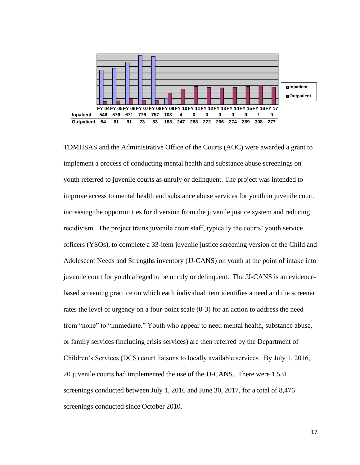

TDMHSAS and the Administrative Office of the Courts (AOC) were awarded a grant to implement a process of conducting mental health and substance abuse screenings on youth referred to juvenile courts as unruly or delinquent. The project was intended to improve access to mental health and substance abuse services for youth in juvenile court, increasing the opportunities for diversion from the juvenile justice system and reducing recidivism. The project trains juvenile court staff, typically the courts' youth service officers (YSOs), to complete a 33-item juvenile justice screening version of the Child and Adolescent Needs and Strengths inventory (JJ-CANS) on youth at the point of intake into juvenile court for youth alleged to be unruly or delinquent. The JJ-CANS is an evidencebased screening practice on which each individual item identifies a need and the screener rates the level of urgency on a four-point scale (0-3) for an action to address the need from "none" to "immediate." Youth who appear to need mental health, substance abuse, or family services (including crisis services) are then referred by the Department of Children's Services (DCS) court liaisons to locally available services. By July 1, 2016, 20 juvenile courts had implemented the use of the JJ-CANS. There were 1,531 screenings conducted between July 1, 2016 and June 30, 2017, for a total of 8,476 screenings conducted since October 2010.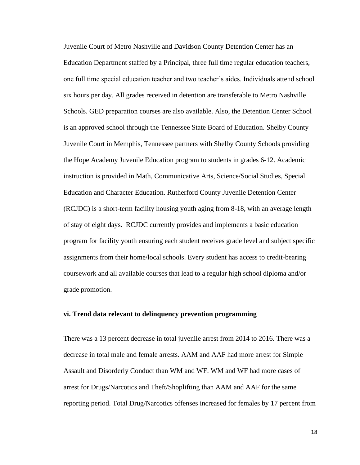Juvenile Court of Metro Nashville and Davidson County Detention Center has an Education Department staffed by a Principal, three full time regular education teachers, one full time special education teacher and two teacher's aides. Individuals attend school six hours per day. All grades received in detention are transferable to Metro Nashville Schools. GED preparation courses are also available. Also, the Detention Center School is an approved school through the Tennessee State Board of Education. Shelby County Juvenile Court in Memphis, Tennessee partners with Shelby County Schools providing the Hope Academy Juvenile Education program to students in grades 6-12. Academic instruction is provided in Math, Communicative Arts, Science/Social Studies, Special Education and Character Education. Rutherford County Juvenile Detention Center (RCJDC) is a short-term facility housing youth aging from 8-18, with an average length of stay of eight days. RCJDC currently provides and implements a basic education program for facility youth ensuring each student receives grade level and subject specific assignments from their home/local schools. Every student has access to credit-bearing coursework and all available courses that lead to a regular high school diploma and/or grade promotion.

### **vi. Trend data relevant to delinquency prevention programming**

There was a 13 percent decrease in total juvenile arrest from 2014 to 2016. There was a decrease in total male and female arrests. AAM and AAF had more arrest for Simple Assault and Disorderly Conduct than WM and WF. WM and WF had more cases of arrest for Drugs/Narcotics and Theft/Shoplifting than AAM and AAF for the same reporting period. Total Drug/Narcotics offenses increased for females by 17 percent from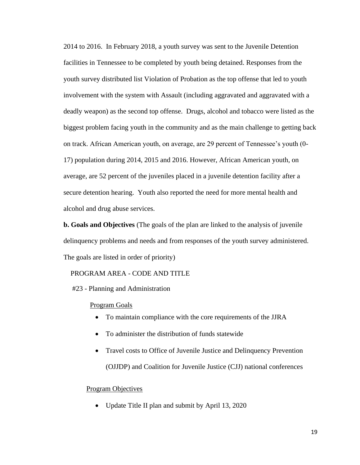2014 to 2016. In February 2018, a youth survey was sent to the Juvenile Detention facilities in Tennessee to be completed by youth being detained. Responses from the youth survey distributed list Violation of Probation as the top offense that led to youth involvement with the system with Assault (including aggravated and aggravated with a deadly weapon) as the second top offense. Drugs, alcohol and tobacco were listed as the biggest problem facing youth in the community and as the main challenge to getting back on track. African American youth, on average, are 29 percent of Tennessee's youth (0- 17) population during 2014, 2015 and 2016. However, African American youth, on average, are 52 percent of the juveniles placed in a juvenile detention facility after a secure detention hearing. Youth also reported the need for more mental health and alcohol and drug abuse services.

**b. Goals and Objectives** (The goals of the plan are linked to the analysis of juvenile delinquency problems and needs and from responses of the youth survey administered. The goals are listed in order of priority)

### PROGRAM AREA - CODE AND TITLE

#23 - Planning and Administration

#### Program Goals

- To maintain compliance with the core requirements of the JJRA
- To administer the distribution of funds statewide
- Travel costs to Office of Juvenile Justice and Delinquency Prevention (OJJDP) and Coalition for Juvenile Justice (CJJ) national conferences

#### Program Objectives

• Update Title II plan and submit by April 13, 2020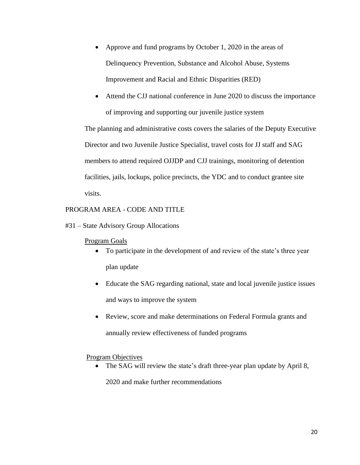- Approve and fund programs by October 1, 2020 in the areas of Delinquency Prevention, Substance and Alcohol Abuse, Systems Improvement and Racial and Ethnic Disparities (RED)
- Attend the CJJ national conference in June 2020 to discuss the importance of improving and supporting our juvenile justice system

The planning and administrative costs covers the salaries of the Deputy Executive Director and two Juvenile Justice Specialist, travel costs for JJ staff and SAG members to attend required OJJDP and CJJ trainings, monitoring of detention facilities, jails, lockups, police precincts, the YDC and to conduct grantee site visits.

### PROGRAM AREA - CODE AND TITLE

#31 – State Advisory Group Allocations

### Program Goals

- To participate in the development of and review of the state's three year plan update
- Educate the SAG regarding national, state and local juvenile justice issues and ways to improve the system
- Review, score and make determinations on Federal Formula grants and annually review effectiveness of funded programs

### Program Objectives

The SAG will review the state's draft three-year plan update by April 8,

2020 and make further recommendations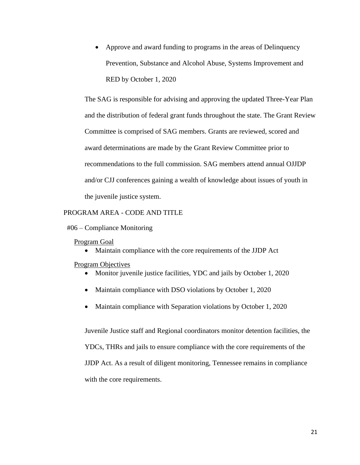• Approve and award funding to programs in the areas of Delinquency Prevention, Substance and Alcohol Abuse, Systems Improvement and RED by October 1, 2020

The SAG is responsible for advising and approving the updated Three-Year Plan and the distribution of federal grant funds throughout the state. The Grant Review Committee is comprised of SAG members. Grants are reviewed, scored and award determinations are made by the Grant Review Committee prior to recommendations to the full commission. SAG members attend annual OJJDP and/or CJJ conferences gaining a wealth of knowledge about issues of youth in the juvenile justice system.

### PROGRAM AREA - CODE AND TITLE

#### #06 – Compliance Monitoring

#### Program Goal

• Maintain compliance with the core requirements of the JJDP Act

#### Program Objectives

- Monitor juvenile justice facilities, YDC and jails by October 1, 2020
- Maintain compliance with DSO violations by October 1, 2020
- Maintain compliance with Separation violations by October 1, 2020

Juvenile Justice staff and Regional coordinators monitor detention facilities, the YDCs, THRs and jails to ensure compliance with the core requirements of the JJDP Act. As a result of diligent monitoring, Tennessee remains in compliance with the core requirements.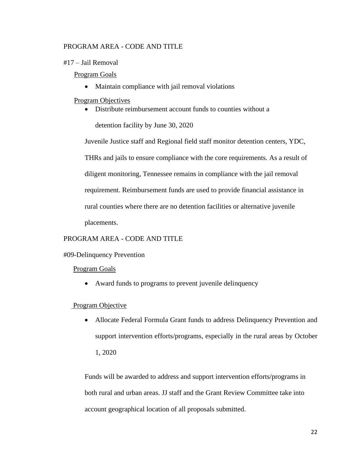# PROGRAM AREA - CODE AND TITLE

#17 – Jail Removal

### Program Goals

• Maintain compliance with jail removal violations

### Program Objectives

• Distribute reimbursement account funds to counties without a

detention facility by June 30, 2020

Juvenile Justice staff and Regional field staff monitor detention centers, YDC, THRs and jails to ensure compliance with the core requirements. As a result of diligent monitoring, Tennessee remains in compliance with the jail removal requirement. Reimbursement funds are used to provide financial assistance in rural counties where there are no detention facilities or alternative juvenile placements.

# PROGRAM AREA - CODE AND TITLE

### #09-Delinquency Prevention

### Program Goals

• Award funds to programs to prevent juvenile delinquency

### Program Objective

• Allocate Federal Formula Grant funds to address Delinquency Prevention and support intervention efforts/programs, especially in the rural areas by October

1, 2020

Funds will be awarded to address and support intervention efforts/programs in both rural and urban areas. JJ staff and the Grant Review Committee take into account geographical location of all proposals submitted.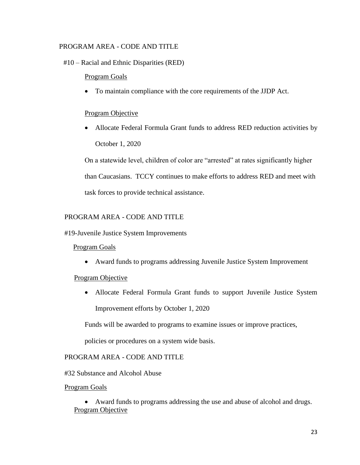# PROGRAM AREA - CODE AND TITLE

# #10 – Racial and Ethnic Disparities (RED)

# Program Goals

• To maintain compliance with the core requirements of the JJDP Act.

# Program Objective

• Allocate Federal Formula Grant funds to address RED reduction activities by October 1, 2020

On a statewide level, children of color are "arrested" at rates significantly higher than Caucasians. TCCY continues to make efforts to address RED and meet with task forces to provide technical assistance.

# PROGRAM AREA - CODE AND TITLE

#19-Juvenile Justice System Improvements

# Program Goals

• Award funds to programs addressing Juvenile Justice System Improvement

# Program Objective

• Allocate Federal Formula Grant funds to support Juvenile Justice System Improvement efforts by October 1, 2020

Funds will be awarded to programs to examine issues or improve practices,

policies or procedures on a system wide basis.

# PROGRAM AREA - CODE AND TITLE

#32 Substance and Alcohol Abuse

### Program Goals

• Award funds to programs addressing the use and abuse of alcohol and drugs. Program Objective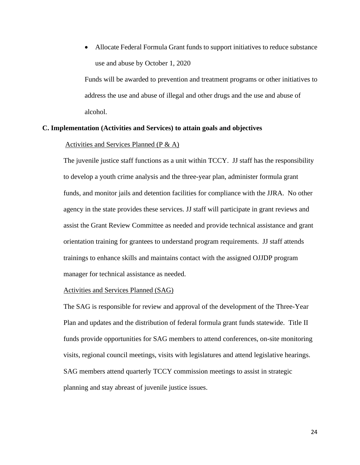• Allocate Federal Formula Grant funds to support initiatives to reduce substance use and abuse by October 1, 2020

Funds will be awarded to prevention and treatment programs or other initiatives to address the use and abuse of illegal and other drugs and the use and abuse of alcohol.

### **C. Implementation (Activities and Services) to attain goals and objectives**

#### Activities and Services Planned (P & A)

The juvenile justice staff functions as a unit within TCCY. JJ staff has the responsibility to develop a youth crime analysis and the three-year plan, administer formula grant funds, and monitor jails and detention facilities for compliance with the JJRA. No other agency in the state provides these services. JJ staff will participate in grant reviews and assist the Grant Review Committee as needed and provide technical assistance and grant orientation training for grantees to understand program requirements. JJ staff attends trainings to enhance skills and maintains contact with the assigned OJJDP program manager for technical assistance as needed.

### Activities and Services Planned (SAG)

The SAG is responsible for review and approval of the development of the Three-Year Plan and updates and the distribution of federal formula grant funds statewide. Title II funds provide opportunities for SAG members to attend conferences, on-site monitoring visits, regional council meetings, visits with legislatures and attend legislative hearings. SAG members attend quarterly TCCY commission meetings to assist in strategic planning and stay abreast of juvenile justice issues.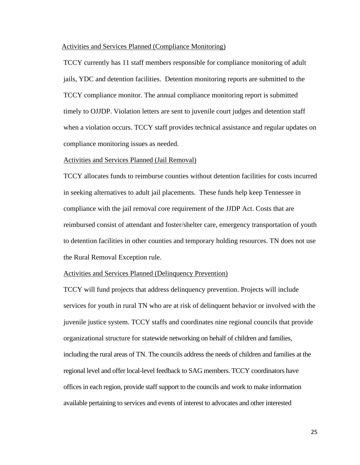#### Activities and Services Planned (Compliance Monitoring)

TCCY currently has 11 staff members responsible for compliance monitoring of adult jails, YDC and detention facilities. Detention monitoring reports are submitted to the TCCY compliance monitor. The annual compliance monitoring report is submitted timely to OJJDP. Violation letters are sent to juvenile court judges and detention staff when a violation occurs. TCCY staff provides technical assistance and regular updates on compliance monitoring issues as needed.

#### Activities and Services Planned (Jail Removal)

TCCY allocates funds to reimburse counties without detention facilities for costs incurred in seeking alternatives to adult jail placements. These funds help keep Tennessee in compliance with the jail removal core requirement of the JJDP Act. Costs that are reimbursed consist of attendant and foster/shelter care, emergency transportation of youth to detention facilities in other counties and temporary holding resources. TN does not use the Rural Removal Exception rule.

#### Activities and Services Planned (Delinquency Prevention)

TCCY will fund projects that address delinquency prevention. Projects will include services for youth in rural TN who are at risk of delinquent behavior or involved with the juvenile justice system. TCCY staffs and coordinates nine regional councils that provide organizational structure for statewide networking on behalf of children and families, including the rural areas of TN. The councils address the needs of children and families at the regional level and offer local-level feedback to SAG members. TCCY coordinators have offices in each region, provide staff support to the councils and work to make information available pertaining to services and events of interest to advocates and other interested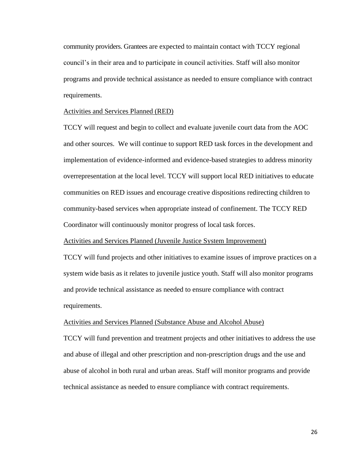community providers. Grantees are expected to maintain contact with TCCY regional council's in their area and to participate in council activities. Staff will also monitor programs and provide technical assistance as needed to ensure compliance with contract requirements.

#### Activities and Services Planned (RED)

TCCY will request and begin to collect and evaluate juvenile court data from the AOC and other sources. We will continue to support RED task forces in the development and implementation of evidence-informed and evidence-based strategies to address minority overrepresentation at the local level. TCCY will support local RED initiatives to educate communities on RED issues and encourage creative dispositions redirecting children to community-based services when appropriate instead of confinement. The TCCY RED Coordinator will continuously monitor progress of local task forces.

Activities and Services Planned (Juvenile Justice System Improvement)

TCCY will fund projects and other initiatives to examine issues of improve practices on a system wide basis as it relates to juvenile justice youth. Staff will also monitor programs and provide technical assistance as needed to ensure compliance with contract requirements.

#### Activities and Services Planned (Substance Abuse and Alcohol Abuse)

TCCY will fund prevention and treatment projects and other initiatives to address the use and abuse of illegal and other prescription and non-prescription drugs and the use and abuse of alcohol in both rural and urban areas. Staff will monitor programs and provide technical assistance as needed to ensure compliance with contract requirements.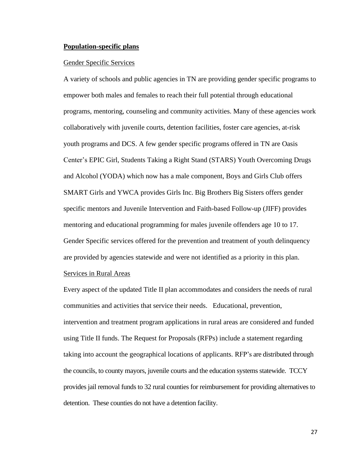#### **Population-specific plans**

#### Gender Specific Services

A variety of schools and public agencies in TN are providing gender specific programs to empower both males and females to reach their full potential through educational programs, mentoring, counseling and community activities. Many of these agencies work collaboratively with juvenile courts, detention facilities, foster care agencies, at-risk youth programs and DCS. A few gender specific programs offered in TN are Oasis Center's EPIC Girl, Students Taking a Right Stand (STARS) Youth Overcoming Drugs and Alcohol (YODA) which now has a male component, Boys and Girls Club offers SMART Girls and YWCA provides Girls Inc. Big Brothers Big Sisters offers gender specific mentors and Juvenile Intervention and Faith-based Follow-up (JIFF) provides mentoring and educational programming for males juvenile offenders age 10 to 17. Gender Specific services offered for the prevention and treatment of youth delinquency are provided by agencies statewide and were not identified as a priority in this plan.

### Services in Rural Areas

Every aspect of the updated Title II plan accommodates and considers the needs of rural communities and activities that service their needs. Educational, prevention, intervention and treatment program applications in rural areas are considered and funded using Title II funds. The Request for Proposals (RFPs) include a statement regarding taking into account the geographical locations of applicants. RFP's are distributed through the councils, to county mayors, juvenile courts and the education systems statewide. TCCY provides jail removal funds to 32 rural counties for reimbursement for providing alternatives to detention. These counties do not have a detention facility.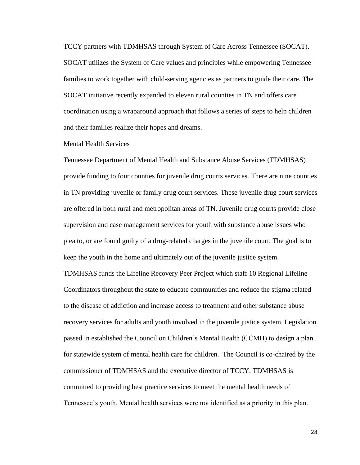TCCY partners with TDMHSAS through System of Care Across Tennessee (SOCAT). SOCAT utilizes the System of Care values and principles while empowering Tennessee families to work together with child-serving agencies as partners to guide their care. The SOCAT initiative recently expanded to eleven rural counties in TN and offers care coordination using a wraparound approach that follows a series of steps to help children and their families realize their hopes and dreams.

#### Mental Health Services

Tennessee Department of Mental Health and Substance Abuse Services (TDMHSAS) provide funding to four counties for juvenile drug courts services. There are nine counties in TN providing juvenile or family drug court services. These juvenile drug court services are offered in both rural and metropolitan areas of TN. Juvenile drug courts provide close supervision and case management services for youth with substance abuse issues who plea to, or are found guilty of a drug-related charges in the juvenile court. The goal is to keep the youth in the home and ultimately out of the juvenile justice system.

TDMHSAS funds the Lifeline Recovery Peer Project which staff 10 Regional Lifeline Coordinators throughout the state to educate communities and reduce the stigma related to the disease of addiction and increase access to treatment and other substance abuse recovery services for adults and youth involved in the juvenile justice system. Legislation passed in established the Council on Children's Mental Health (CCMH) to design a plan for statewide system of mental health care for children. The Council is co-chaired by the commissioner of TDMHSAS and the executive director of TCCY. TDMHSAS is committed to providing best practice services to meet the mental health needs of Tennessee's youth. Mental health services were not identified as a priority in this plan.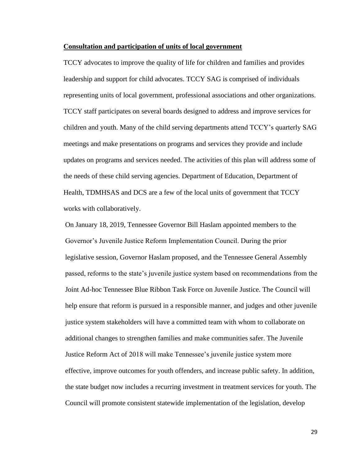#### **Consultation and participation of units of local government**

TCCY advocates to improve the quality of life for children and families and provides leadership and support for child advocates. TCCY SAG is comprised of individuals representing units of local government, professional associations and other organizations. TCCY staff participates on several boards designed to address and improve services for children and youth. Many of the child serving departments attend TCCY's quarterly SAG meetings and make presentations on programs and services they provide and include updates on programs and services needed. The activities of this plan will address some of the needs of these child serving agencies. Department of Education, Department of Health, TDMHSAS and DCS are a few of the local units of government that TCCY works with collaboratively.

On January 18, 2019, Tennessee Governor Bill Haslam appointed members to the Governor's Juvenile Justice Reform Implementation Council. During the prior legislative session, Governor Haslam proposed, and the Tennessee General Assembly passed, reforms to the state's juvenile justice system based on recommendations from the Joint Ad-hoc Tennessee Blue Ribbon Task Force on Juvenile Justice. The Council will help ensure that reform is pursued in a responsible manner, and judges and other juvenile justice system stakeholders will have a committed team with whom to collaborate on additional changes to strengthen families and make communities safer. The Juvenile Justice Reform Act of 2018 will make Tennessee's juvenile justice system more effective, improve outcomes for youth offenders, and increase public safety. In addition, the state budget now includes a recurring investment in treatment services for youth. The Council will promote consistent statewide implementation of the legislation, develop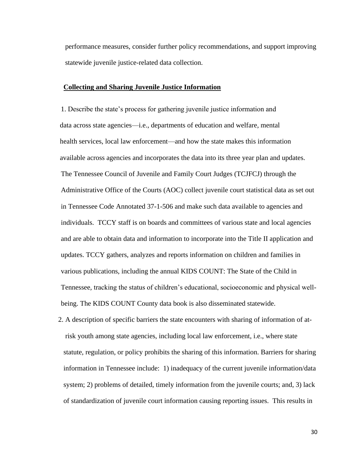performance measures, consider further policy recommendations, and support improving statewide juvenile justice-related data collection.

#### **Collecting and Sharing Juvenile Justice Information**

1. Describe the state's process for gathering juvenile justice information and data across state agencies—i.e., departments of education and welfare, mental health services, local law enforcement—and how the state makes this information available across agencies and incorporates the data into its three year plan and updates. The Tennessee Council of Juvenile and Family Court Judges (TCJFCJ) through the Administrative Office of the Courts (AOC) collect juvenile court statistical data as set out in Tennessee Code Annotated 37-1-506 and make such data available to agencies and individuals. TCCY staff is on boards and committees of various state and local agencies and are able to obtain data and information to incorporate into the Title II application and updates. TCCY gathers, analyzes and reports information on children and families in various publications, including the annual KIDS COUNT: The State of the Child in Tennessee*,* tracking the status of children's educational, socioeconomic and physical wellbeing. The KIDS COUNT County data book is also disseminated statewide.

2. A description of specific barriers the state encounters with sharing of information of atrisk youth among state agencies, including local law enforcement, i.e., where state statute, regulation, or policy prohibits the sharing of this information. Barriers for sharing information in Tennessee include: 1) inadequacy of the current juvenile information/data system; 2) problems of detailed, timely information from the juvenile courts; and, 3) lack of standardization of juvenile court information causing reporting issues. This results in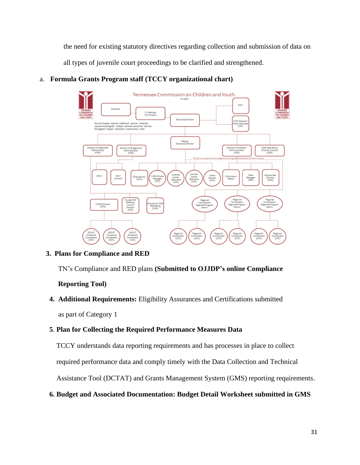the need for existing statutory directives regarding collection and submission of data on all types of juvenile court proceedings to be clarified and strengthened.

#### Tennessee Commission on Children and Youth EAA1 21-Membe Executive Di square/rectangular shapes denote executive service<br>Elongated shapes represent supervisory roles. Deputy<br>Executive Din Director of Budget and<br>Administration Director of Data an<br>Communication Field Operat<br>Director (vol<br>(CPD) **CPD ICRO** Juvenile<br>Justice<br>Specialis<br>(CPC) Data<br>Manag<br>(SRS) üdcentraltn<br>Director<br>(CPA) Grant<br>Monitor<br>(CPC) EAA1<br>Ivecent ASA Gra<br>Manage<br>(CPC) uvenil|<br>Justice|<br>Special|<br>CPC) EAA2 rormas<br>Office Region<br>Coordina<br>Regional Pri<br>Admir CCMHDir<br>(CPA) Regional<br>Coordinati<br>(CPC) Regiona<br>Coordinal<br>(CPC) Region<br>Coordina<br>(CPC) Regions<br>Coordina<br>(CPC) Region<br>Coordina<br>(CPC)

# a. **Formula Grants Program staff (TCCY organizational chart)**

# **3. Plans for Compliance and RED**

TN's Compliance and RED plans **(Submitted to OJJDP's online Compliance** 

 **Reporting Tool)**

 **4. Additional Requirements:** Eligibility Assurances and Certifications submitted as part of Category 1

# **5**. **Plan for Collecting the Required Performance Measures Data**

TCCY understands data reporting requirements and has processes in place to collect

required performance data and comply timely with the Data Collection and Technical

Assistance Tool (DCTAT) and Grants Management System (GMS) reporting requirements.

# **6. Budget and Associated Documentation: Budget Detail Worksheet submitted in GMS**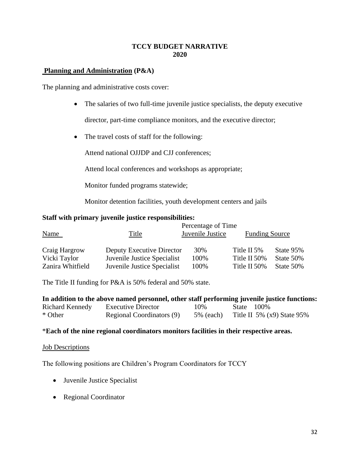# **TCCY BUDGET NARRATIVE 2020**

# **Planning and Administration (P&A)**

The planning and administrative costs cover:

• The salaries of two full-time juvenile justice specialists, the deputy executive

director, part-time compliance monitors, and the executive director;

• The travel costs of staff for the following:

Attend national OJJDP and CJJ conferences;

Attend local conferences and workshops as appropriate;

Monitor funded programs statewide;

Monitor detention facilities, youth development centers and jails

### **Staff with primary juvenile justice responsibilities:**

|                  |                             | Percentage of Time |                       |           |
|------------------|-----------------------------|--------------------|-----------------------|-----------|
| <b>Name</b>      | Title                       | Juvenile Justice   | <b>Funding Source</b> |           |
| Craig Hargrow    | Deputy Executive Director   | 30%                | Title II 5\%          | State 95% |
| Vicki Taylor     | Juvenile Justice Specialist | 100%               | Title II 50%          | State 50% |
| Zanira Whitfield | Juvenile Justice Specialist | 100%               | Title II 50%          | State 50% |

The Title II funding for P&A is 50% federal and 50% state.

|                 | In addition to the above named personnel, other staff performing juvenile justice functions: |              |            |                              |
|-----------------|----------------------------------------------------------------------------------------------|--------------|------------|------------------------------|
| Richard Kennedy | Executive Director                                                                           | 10%          | State 100% |                              |
| * Other         | Regional Coordinators (9)                                                                    | $5\%$ (each) |            | Title II 5% $(x9)$ State 95% |

### \***Each of the nine regional coordinators monitors facilities in their respective areas.**

### **Job Descriptions**

The following positions are Children's Program Coordinators for TCCY

- Juvenile Justice Specialist
- Regional Coordinator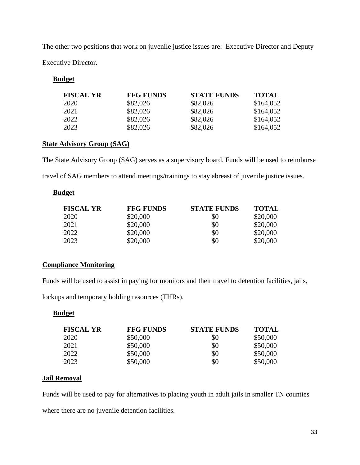The other two positions that work on juvenile justice issues are: Executive Director and Deputy Executive Director.

# **Budget**

| <b>FISCAL YR</b> | <b>FFG FUNDS</b> | <b>STATE FUNDS</b> | <b>TOTAL</b> |
|------------------|------------------|--------------------|--------------|
| 2020             | \$82,026         | \$82,026           | \$164,052    |
| 2021             | \$82,026         | \$82,026           | \$164,052    |
| 2022             | \$82,026         | \$82,026           | \$164,052    |
| 2023             | \$82,026         | \$82,026           | \$164,052    |

# **State Advisory Group (SAG)**

The State Advisory Group (SAG) serves as a supervisory board. Funds will be used to reimburse travel of SAG members to attend meetings/trainings to stay abreast of juvenile justice issues.

# **Budget**

| <b>FISCAL YR</b> | <b>FFG FUNDS</b> | <b>STATE FUNDS</b> | <b>TOTAL</b> |
|------------------|------------------|--------------------|--------------|
| 2020             | \$20,000         | \$0                | \$20,000     |
| 2021             | \$20,000         | \$0                | \$20,000     |
| 2022             | \$20,000         | \$0                | \$20,000     |
| 2023             | \$20,000         | \$0                | \$20,000     |

# **Compliance Monitoring**

Funds will be used to assist in paying for monitors and their travel to detention facilities, jails,

lockups and temporary holding resources (THRs).

# **Budget**

| <b>FISCAL YR</b> | <b>FFG FUNDS</b> | <b>STATE FUNDS</b> | <b>TOTAL</b> |
|------------------|------------------|--------------------|--------------|
| 2020             | \$50,000         | \$0                | \$50,000     |
| 2021             | \$50,000         | \$0                | \$50,000     |
| 2022             | \$50,000         | \$0                | \$50,000     |
| 2023             | \$50,000         | \$0                | \$50,000     |

# **Jail Removal**

Funds will be used to pay for alternatives to placing youth in adult jails in smaller TN counties where there are no juvenile detention facilities.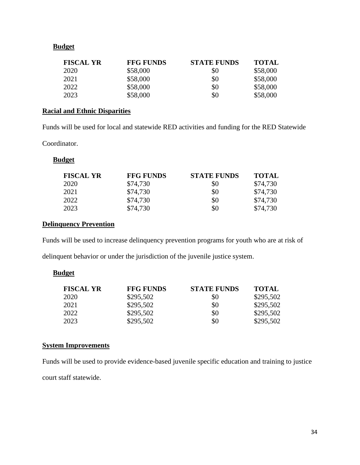# **Budget**

| <b>FISCAL YR</b> | <b>FFG FUNDS</b> | <b>STATE FUNDS</b> | <b>TOTAL</b> |
|------------------|------------------|--------------------|--------------|
| 2020             | \$58,000         | \$0                | \$58,000     |
| 2021             | \$58,000         | \$0                | \$58,000     |
| 2022             | \$58,000         | \$0                | \$58,000     |
| 2023             | \$58,000         | \$0                | \$58,000     |

# **Racial and Ethnic Disparities**

Funds will be used for local and statewide RED activities and funding for the RED Statewide

Coordinator.

### **Budget**

| <b>FISCAL YR</b> | <b>FFG FUNDS</b> | <b>STATE FUNDS</b> | <b>TOTAL</b> |
|------------------|------------------|--------------------|--------------|
| 2020             | \$74,730         | \$0                | \$74,730     |
| 2021             | \$74,730         | \$0                | \$74,730     |
| 2022             | \$74,730         | \$0                | \$74,730     |
| 2023             | \$74,730         | \$0                | \$74,730     |

# **Delinquency Prevention**

Funds will be used to increase delinquency prevention programs for youth who are at risk of

delinquent behavior or under the jurisdiction of the juvenile justice system.

# **Budget**

| <b>FISCAL YR</b> | <b>FFG FUNDS</b> | <b>STATE FUNDS</b> | <b>TOTAL</b> |
|------------------|------------------|--------------------|--------------|
| 2020             | \$295,502        | \$0                | \$295,502    |
| 2021             | \$295,502        | \$0                | \$295,502    |
| 2022             | \$295,502        | \$0                | \$295,502    |
| 2023             | \$295,502        | \$0                | \$295,502    |

# **System Improvements**

Funds will be used to provide evidence-based juvenile specific education and training to justice court staff statewide.